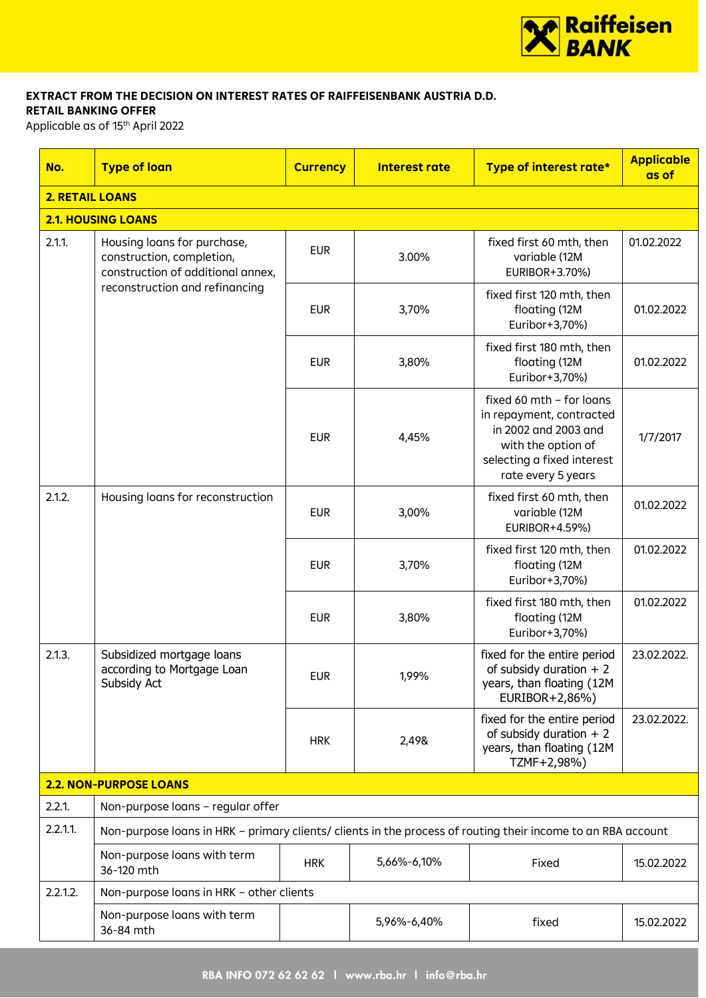

#### **EXTRACT FROM THE DECISION ON INTEREST RATES OF RAIFFEISENBANK AUSTRIA D.D. RETAIL BANKING OFFER**

Applicable as of 15th April 2022

| No.      | <b>Type of loan</b>                                                                                          | <b>Currency</b> | Interest rate | Type of interest rate*                                                                                                                                 | <b>Applicable</b><br>as of |  |  |  |  |
|----------|--------------------------------------------------------------------------------------------------------------|-----------------|---------------|--------------------------------------------------------------------------------------------------------------------------------------------------------|----------------------------|--|--|--|--|
|          | <b>2. RETAIL LOANS</b>                                                                                       |                 |               |                                                                                                                                                        |                            |  |  |  |  |
|          | <b>2.1. HOUSING LOANS</b>                                                                                    |                 |               |                                                                                                                                                        |                            |  |  |  |  |
| 2.1.1    | Housing loans for purchase,<br>construction, completion,<br>construction of additional annex,                | <b>EUR</b>      | 3.00%         | fixed first 60 mth, then<br>variable (12M<br>EURIBOR+3.70%)                                                                                            | 01.02.2022                 |  |  |  |  |
|          | reconstruction and refinancing                                                                               | <b>EUR</b>      | 3,70%         | fixed first 120 mth, then<br>floating (12M<br>Euribor+3,70%)                                                                                           | 01.02.2022                 |  |  |  |  |
|          |                                                                                                              | <b>EUR</b>      | 3,80%         | fixed first 180 mth, then<br>floating (12M<br>Euribor+3,70%)                                                                                           | 01.02.2022                 |  |  |  |  |
|          |                                                                                                              | <b>EUR</b>      | 4,45%         | fixed 60 mth - for loans<br>in repayment, contracted<br>in 2002 and 2003 and<br>with the option of<br>selecting a fixed interest<br>rate every 5 years | 1/7/2017                   |  |  |  |  |
| 2.1.2.   | Housing loans for reconstruction                                                                             |                 | 3,00%         | fixed first 60 mth, then<br>variable (12M<br>EURIBOR+4.59%)                                                                                            | 01.02.2022                 |  |  |  |  |
|          |                                                                                                              | <b>EUR</b>      | 3,70%         | fixed first 120 mth, then<br>floating (12M<br>Euribor+3,70%)                                                                                           | 01.02.2022                 |  |  |  |  |
|          |                                                                                                              |                 | 3,80%         | fixed first 180 mth, then<br>floating (12M<br>Euribor+3,70%)                                                                                           | 01.02.2022                 |  |  |  |  |
| 2.1.3.   | Subsidized mortgage loans<br>according to Mortgage Loan<br>Subsidy Act                                       | <b>EUR</b>      | 1,99%         | fixed for the entire period<br>of subsidy duration $+2$<br>years, than floating (12M)<br>EURIBOR+2,86%)                                                | 23.02.2022.                |  |  |  |  |
|          |                                                                                                              | <b>HRK</b>      | 2,49&         | fixed for the entire period<br>of subsidy duration $+2$<br>years, than floating (12M<br>TZMF+2,98%)                                                    | 23.02.2022.                |  |  |  |  |
|          | <b>2.2. NON-PURPOSE LOANS</b>                                                                                |                 |               |                                                                                                                                                        |                            |  |  |  |  |
| 2.2.1.   | Non-purpose loans - regular offer                                                                            |                 |               |                                                                                                                                                        |                            |  |  |  |  |
| 2.2.1.1. | Non-purpose loans in HRK - primary clients/ clients in the process of routing their income to an RBA account |                 |               |                                                                                                                                                        |                            |  |  |  |  |
|          | Non-purpose loans with term<br>36-120 mth                                                                    | <b>HRK</b>      | 5,66%-6,10%   | Fixed                                                                                                                                                  | 15.02.2022                 |  |  |  |  |
| 2.2.1.2. | Non-purpose loans in HRK - other clients                                                                     |                 |               |                                                                                                                                                        |                            |  |  |  |  |
|          | Non-purpose loans with term<br>36-84 mth                                                                     |                 | 5,96%-6,40%   | fixed                                                                                                                                                  | 15.02.2022                 |  |  |  |  |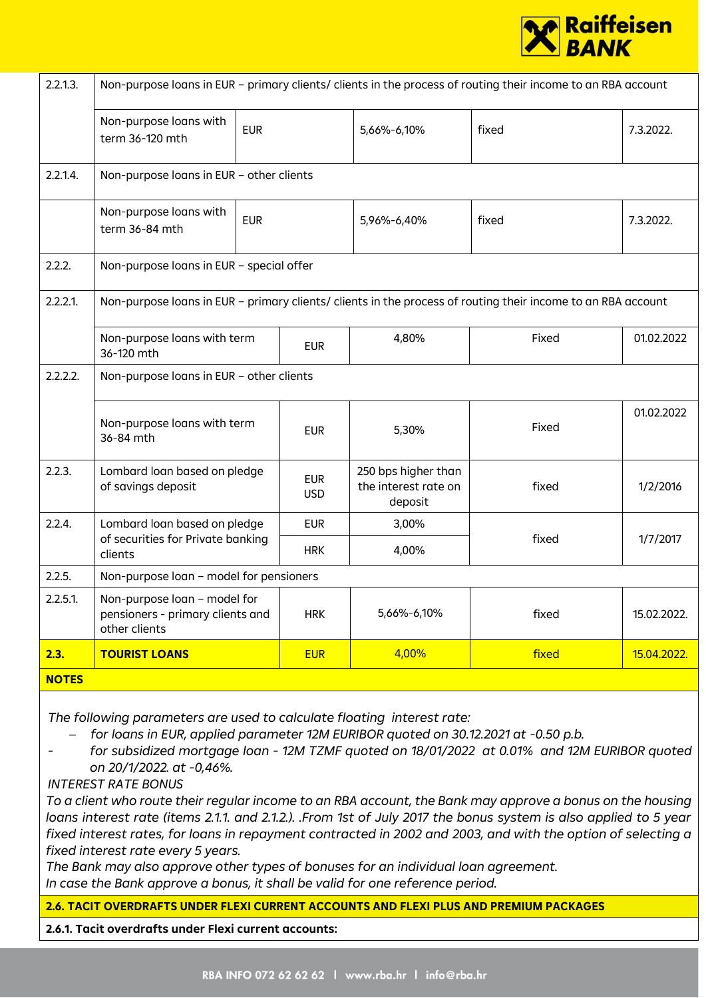

| 2.2.1.3.     | Non-purpose loans in EUR - primary clients/ clients in the process of routing their income to an RBA account |            |                          |                                                        |                                                                                                              |             |  |
|--------------|--------------------------------------------------------------------------------------------------------------|------------|--------------------------|--------------------------------------------------------|--------------------------------------------------------------------------------------------------------------|-------------|--|
|              | Non-purpose loans with<br>term 36-120 mth                                                                    | <b>EUR</b> |                          | 5,66%-6,10%                                            | fixed                                                                                                        | 7.3.2022.   |  |
| 2.2.1.4.     | Non-purpose loans in EUR - other clients                                                                     |            |                          |                                                        |                                                                                                              |             |  |
|              | Non-purpose loans with<br>term 36-84 mth                                                                     | <b>EUR</b> |                          | 5,96%-6,40%                                            | fixed                                                                                                        | 7.3.2022.   |  |
| 2.2.2.       | Non-purpose loans in EUR - special offer                                                                     |            |                          |                                                        |                                                                                                              |             |  |
| 2.2.2.1      |                                                                                                              |            |                          |                                                        | Non-purpose loans in EUR - primary clients/ clients in the process of routing their income to an RBA account |             |  |
|              | Non-purpose loans with term<br><b>EUR</b><br>36-120 mth                                                      |            |                          | 4,80%                                                  | Fixed                                                                                                        | 01.02.2022  |  |
| 2.2.2.2.     | Non-purpose loans in EUR - other clients                                                                     |            |                          |                                                        |                                                                                                              |             |  |
|              | Non-purpose loans with term<br>36-84 mth                                                                     |            | <b>EUR</b>               | 5,30%                                                  | Fixed                                                                                                        | 01.02.2022  |  |
| 2.2.3.       | Lombard loan based on pledge<br>of savings deposit                                                           |            | <b>EUR</b><br><b>USD</b> | 250 bps higher than<br>the interest rate on<br>deposit | fixed                                                                                                        | 1/2/2016    |  |
| 2.2.4.       | Lombard loan based on pledge                                                                                 |            | <b>EUR</b>               | 3,00%                                                  |                                                                                                              |             |  |
|              | of securities for Private banking<br>clients                                                                 |            | <b>HRK</b>               | 4,00%                                                  | fixed                                                                                                        | 1/7/2017    |  |
| 2.2.5.       | Non-purpose loan - model for pensioners                                                                      |            |                          |                                                        |                                                                                                              |             |  |
| $2.2.5.1$ .  | Non-purpose loan - model for<br>pensioners - primary clients and<br>other clients                            |            | <b>HRK</b>               | 5,66%-6,10%                                            | fixed                                                                                                        | 15.02.2022. |  |
| 2.3.         | <b>TOURIST LOANS</b>                                                                                         |            | <b>EUR</b>               | 4,00%                                                  | fixed                                                                                                        | 15.04.2022. |  |
| <b>NOTES</b> |                                                                                                              |            |                          |                                                        |                                                                                                              |             |  |

*The following parameters are used to calculate floating interest rate:*

− *for loans in EUR, applied parameter 12M EURIBOR quoted on 30.12.2021 at -0.50 p.b.*

*- for subsidized mortgage loan - 12M TZMF quoted on 18/01/2022 at 0.01% and 12M EURIBOR quoted on 20/1/2022. at -0,46%.*

*INTEREST RATE BONUS*

*To a client who route their regular income to an RBA account, the Bank may approve a bonus on the housing loans interest rate (items 2.1.1. and 2.1.2.). .From 1st of July 2017 the bonus system is also applied to 5 year fixed interest rates, for loans in repayment contracted in 2002 and 2003, and with the option of selecting a fixed interest rate every 5 years.*

*The Bank may also approve other types of bonuses for an individual loan agreement. In case the Bank approve a bonus, it shall be valid for one reference period.*

**2.6. TACIT OVERDRAFTS UNDER FLEXI CURRENT ACCOUNTS AND FLEXI PLUS AND PREMIUM PACKAGES**

**2.6.1. Tacit overdrafts under Flexi current accounts:**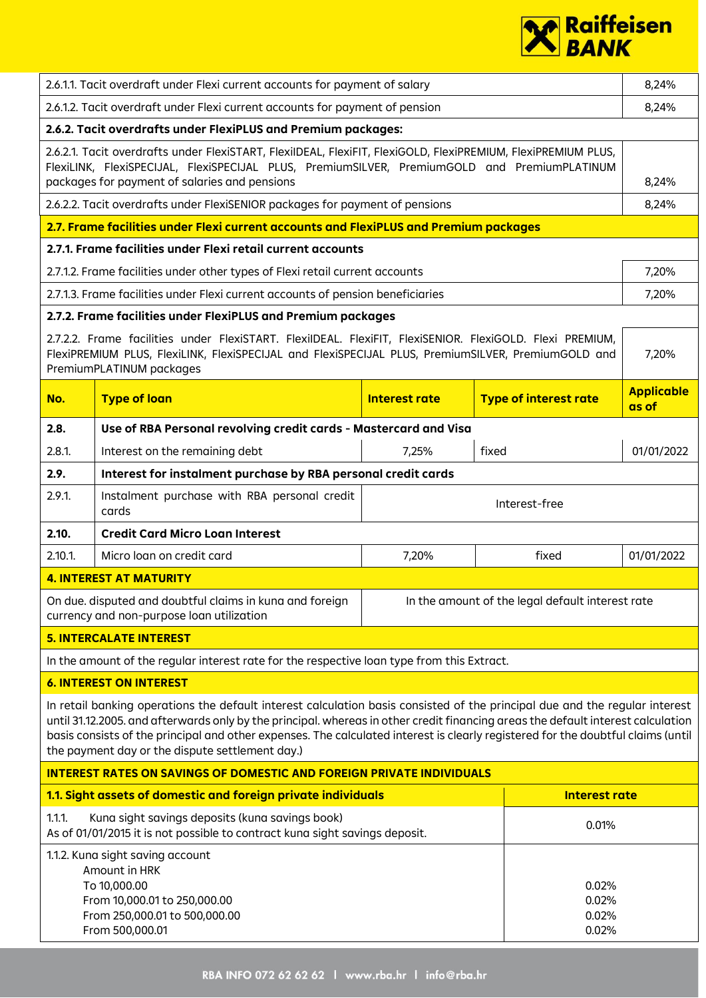

| 2.6.1.1. Tacit overdraft under Flexi current accounts for payment of salary  |                                                                                                                                                                                                                                                                                                                                                                                                                                                        |                      |                                                  |                            |  |  |  |  |
|------------------------------------------------------------------------------|--------------------------------------------------------------------------------------------------------------------------------------------------------------------------------------------------------------------------------------------------------------------------------------------------------------------------------------------------------------------------------------------------------------------------------------------------------|----------------------|--------------------------------------------------|----------------------------|--|--|--|--|
|                                                                              | 2.6.1.2. Tacit overdraft under Flexi current accounts for payment of pension                                                                                                                                                                                                                                                                                                                                                                           |                      |                                                  | 8,24%                      |  |  |  |  |
|                                                                              | 2.6.2. Tacit overdrafts under FlexiPLUS and Premium packages:                                                                                                                                                                                                                                                                                                                                                                                          |                      |                                                  |                            |  |  |  |  |
|                                                                              | 2.6.2.1. Tacit overdrafts under FlexiSTART, FlexiIDEAL, FlexiFIT, FlexiGOLD, FlexiPREMIUM, FlexiPREMIUM PLUS,<br>FlexiLINK, FlexiSPECIJAL, FlexiSPECIJAL PLUS, PremiumSILVER, PremiumGOLD and PremiumPLATINUM<br>packages for payment of salaries and pensions                                                                                                                                                                                         |                      |                                                  | 8,24%                      |  |  |  |  |
|                                                                              | 2.6.2.2. Tacit overdrafts under FlexiSENIOR packages for payment of pensions                                                                                                                                                                                                                                                                                                                                                                           |                      |                                                  | 8,24%                      |  |  |  |  |
|                                                                              | 2.7. Frame facilities under Flexi current accounts and FlexiPLUS and Premium packages                                                                                                                                                                                                                                                                                                                                                                  |                      |                                                  |                            |  |  |  |  |
|                                                                              | 2.7.1. Frame facilities under Flexi retail current accounts                                                                                                                                                                                                                                                                                                                                                                                            |                      |                                                  |                            |  |  |  |  |
|                                                                              | 2.7.1.2. Frame facilities under other types of Flexi retail current accounts                                                                                                                                                                                                                                                                                                                                                                           |                      |                                                  | 7,20%                      |  |  |  |  |
|                                                                              | 2.7.1.3. Frame facilities under Flexi current accounts of pension beneficiaries                                                                                                                                                                                                                                                                                                                                                                        |                      |                                                  | 7,20%                      |  |  |  |  |
|                                                                              | 2.7.2. Frame facilities under FlexiPLUS and Premium packages                                                                                                                                                                                                                                                                                                                                                                                           |                      |                                                  |                            |  |  |  |  |
|                                                                              | 2.7.2.2. Frame facilities under FlexiSTART. FlexiIDEAL. FlexiFIT, FlexiSENIOR. FlexiGOLD. Flexi PREMIUM,<br>FlexiPREMIUM PLUS, FlexiLINK, FlexiSPECIJAL and FlexiSPECIJAL PLUS, PremiumSILVER, PremiumGOLD and<br>PremiumPLATINUM packages                                                                                                                                                                                                             |                      |                                                  | 7,20%                      |  |  |  |  |
| No.                                                                          | <b>Type of loan</b>                                                                                                                                                                                                                                                                                                                                                                                                                                    | <b>Interest rate</b> | <b>Type of interest rate</b>                     | <b>Applicable</b><br>as of |  |  |  |  |
| 2.8.                                                                         | Use of RBA Personal revolving credit cards - Mastercard and Visa                                                                                                                                                                                                                                                                                                                                                                                       |                      |                                                  |                            |  |  |  |  |
| $2.8.1$ .                                                                    | Interest on the remaining debt                                                                                                                                                                                                                                                                                                                                                                                                                         | 7,25%                | fixed                                            | 01/01/2022                 |  |  |  |  |
| 2.9.                                                                         | Interest for instalment purchase by RBA personal credit cards                                                                                                                                                                                                                                                                                                                                                                                          |                      |                                                  |                            |  |  |  |  |
| 2.9.1                                                                        | Instalment purchase with RBA personal credit<br>Interest-free<br>cards                                                                                                                                                                                                                                                                                                                                                                                 |                      |                                                  |                            |  |  |  |  |
| 2.10.                                                                        | <b>Credit Card Micro Loan Interest</b>                                                                                                                                                                                                                                                                                                                                                                                                                 |                      |                                                  |                            |  |  |  |  |
| $2.10.1$ .                                                                   | Micro loan on credit card                                                                                                                                                                                                                                                                                                                                                                                                                              | 7,20%                | fixed                                            | 01/01/2022                 |  |  |  |  |
|                                                                              | <b>4. INTEREST AT MATURITY</b>                                                                                                                                                                                                                                                                                                                                                                                                                         |                      |                                                  |                            |  |  |  |  |
|                                                                              | On due, disputed and doubtful claims in kuna and foreign<br>currency and non-purpose loan utilization                                                                                                                                                                                                                                                                                                                                                  |                      | In the amount of the legal default interest rate |                            |  |  |  |  |
|                                                                              | <b>5. INTERCALATE INTEREST</b>                                                                                                                                                                                                                                                                                                                                                                                                                         |                      |                                                  |                            |  |  |  |  |
|                                                                              | In the amount of the regular interest rate for the respective loan type from this Extract.                                                                                                                                                                                                                                                                                                                                                             |                      |                                                  |                            |  |  |  |  |
|                                                                              | <b>6. INTEREST ON INTEREST</b>                                                                                                                                                                                                                                                                                                                                                                                                                         |                      |                                                  |                            |  |  |  |  |
|                                                                              | In retail banking operations the default interest calculation basis consisted of the principal due and the regular interest<br>until 31.12.2005. and afterwards only by the principal. whereas in other credit financing areas the default interest calculation<br>basis consists of the principal and other expenses. The calculated interest is clearly registered for the doubtful claims (until<br>the payment day or the dispute settlement day.) |                      |                                                  |                            |  |  |  |  |
| <b>INTEREST RATES ON SAVINGS OF DOMESTIC AND FOREIGN PRIVATE INDIVIDUALS</b> |                                                                                                                                                                                                                                                                                                                                                                                                                                                        |                      |                                                  |                            |  |  |  |  |
|                                                                              | 1.1. Sight assets of domestic and foreign private individuals                                                                                                                                                                                                                                                                                                                                                                                          |                      | <b>Interest rate</b>                             |                            |  |  |  |  |
| 1.1.1.                                                                       | Kuna sight savings deposits (kuna savings book)<br>0.01%<br>As of 01/01/2015 it is not possible to contract kuna sight savings deposit.                                                                                                                                                                                                                                                                                                                |                      |                                                  |                            |  |  |  |  |
|                                                                              | 1.1.2. Kuna sight saving account<br>Amount in HRK<br>To 10,000.00<br>From 10,000.01 to 250,000.00<br>From 250,000.01 to 500,000.00<br>From 500,000.01                                                                                                                                                                                                                                                                                                  |                      | 0.02%<br>0.02%<br>0.02%<br>0.02%                 |                            |  |  |  |  |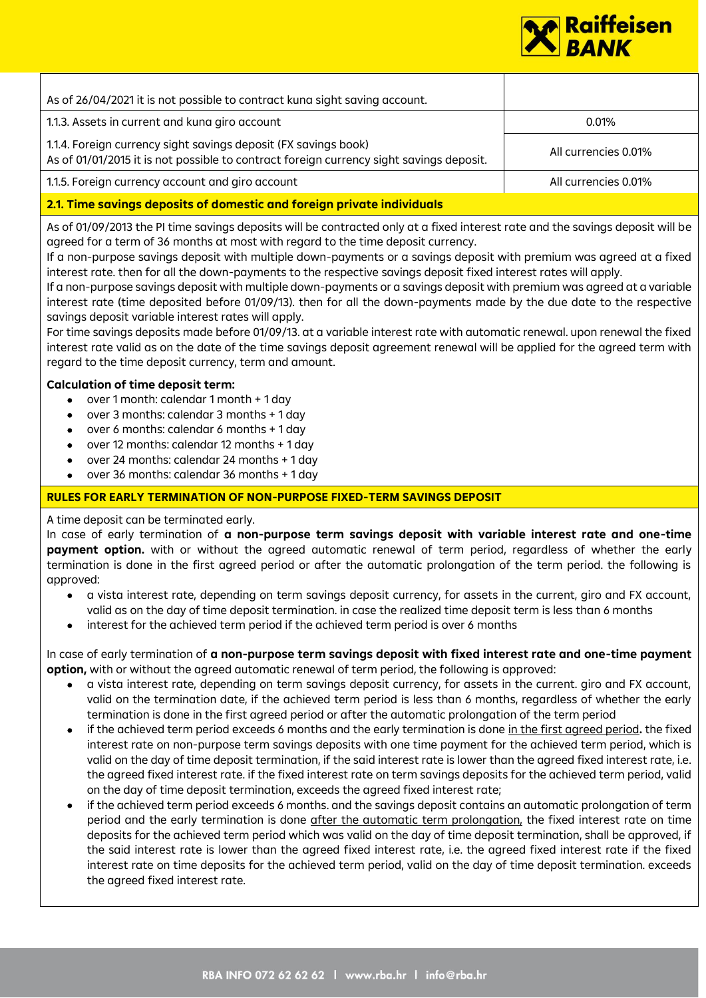

| As of 26/04/2021 it is not possible to contract kuna sight saving account.                                                                                 |                      |
|------------------------------------------------------------------------------------------------------------------------------------------------------------|----------------------|
| 1.1.3. Assets in current and kuna giro account                                                                                                             | $0.01\%$             |
| 1.1.4. Foreign currency sight savings deposit (FX savings book)<br>As of 01/01/2015 it is not possible to contract foreign currency sight savings deposit. | All currencies 0.01% |
| 1.1.5. Foreign currency account and giro account                                                                                                           | All currencies 0.01% |
| 2.1. Time savings deposits of domestic and foreign private individuals                                                                                     |                      |

As of 01/09/2013 the PI time savings deposits will be contracted only at a fixed interest rate and the savings deposit will be agreed for a term of 36 months at most with regard to the time deposit currency.

If a non-purpose savings deposit with multiple down-payments or a savings deposit with premium was agreed at a fixed interest rate. then for all the down-payments to the respective savings deposit fixed interest rates will apply.

If a non-purpose savings deposit with multiple down-payments or a savings deposit with premium was agreed at a variable interest rate (time deposited before 01/09/13). then for all the down-payments made by the due date to the respective savings deposit variable interest rates will apply.

For time savings deposits made before 01/09/13. at a variable interest rate with automatic renewal. upon renewal the fixed interest rate valid as on the date of the time savings deposit agreement renewal will be applied for the agreed term with regard to the time deposit currency, term and amount.

## **Calculation of time deposit term:**

- over 1 month: calendar 1 month + 1 day
- over 3 months: calendar 3 months + 1 day
- over 6 months: calendar 6 months + 1 day
- over 12 months: calendar 12 months + 1 day
- over 24 months: calendar 24 months + 1 day
- over 36 months: calendar 36 months + 1 day

# **RULES FOR EARLY TERMINATION OF NON-PURPOSE FIXED-TERM SAVINGS DEPOSIT**

A time deposit can be terminated early.

In case of early termination of **a non-purpose term savings deposit with variable interest rate and one-time payment option.** with or without the agreed automatic renewal of term period, regardless of whether the early termination is done in the first agreed period or after the automatic prolongation of the term period. the following is approved:

- a vista interest rate, depending on term savings deposit currency, for assets in the current, giro and FX account, valid as on the day of time deposit termination. in case the realized time deposit term is less than 6 months
- interest for the achieved term period if the achieved term period is over 6 months

In case of early termination of **a non-purpose term savings deposit with fixed interest rate and one-time payment option,** with or without the agreed automatic renewal of term period, the following is approved:

- a vista interest rate, depending on term savings deposit currency, for assets in the current. giro and FX account, valid on the termination date, if the achieved term period is less than 6 months, regardless of whether the early termination is done in the first agreed period or after the automatic prolongation of the term period
- if the achieved term period exceeds 6 months and the early termination is done in the first agreed period**.** the fixed interest rate on non-purpose term savings deposits with one time payment for the achieved term period, which is valid on the day of time deposit termination, if the said interest rate is lower than the agreed fixed interest rate, i.e. the agreed fixed interest rate. if the fixed interest rate on term savings deposits for the achieved term period, valid on the day of time deposit termination, exceeds the agreed fixed interest rate;
- if the achieved term period exceeds 6 months. and the savings deposit contains an automatic prolongation of term period and the early termination is done after the automatic term prolongation, the fixed interest rate on time deposits for the achieved term period which was valid on the day of time deposit termination, shall be approved, if the said interest rate is lower than the agreed fixed interest rate, i.e. the agreed fixed interest rate if the fixed interest rate on time deposits for the achieved term period, valid on the day of time deposit termination. exceeds the agreed fixed interest rate.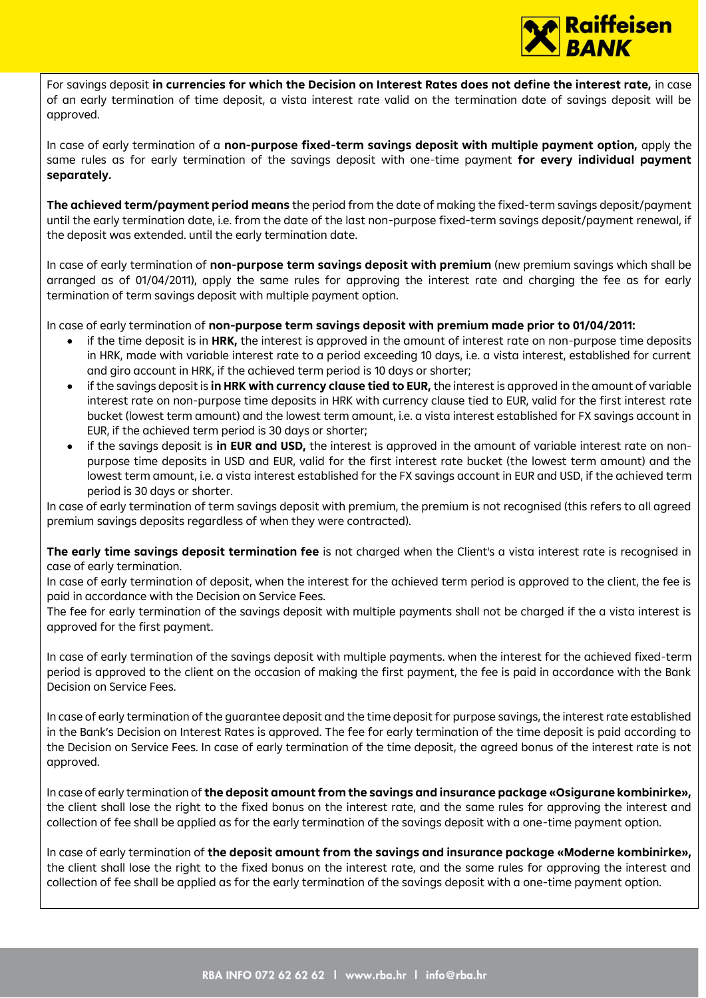

For savings deposit **in currencies for which the Decision on Interest Rates does not define the interest rate,** in case of an early termination of time deposit, a vista interest rate valid on the termination date of savings deposit will be approved.

In case of early termination of a **non-purpose fixed-term savings deposit with multiple payment option,** apply the same rules as for early termination of the savings deposit with one-time payment **for every individual payment separately.** 

**The achieved term/payment period means** the period from the date of making the fixed-term savings deposit/payment until the early termination date, i.e. from the date of the last non-purpose fixed-term savings deposit/payment renewal, if the deposit was extended. until the early termination date.

In case of early termination of **non-purpose term savings deposit with premium** (new premium savings which shall be arranged as of 01/04/2011), apply the same rules for approving the interest rate and charging the fee as for early termination of term savings deposit with multiple payment option.

In case of early termination of **non-purpose term savings deposit with premium made prior to 01/04/2011:**

- if the time deposit is in **HRK,** the interest is approved in the amount of interest rate on non-purpose time deposits in HRK, made with variable interest rate to a period exceeding 10 days, i.e. a vista interest, established for current and giro account in HRK, if the achieved term period is 10 days or shorter;
- if the savings deposit is **in HRK with currency clause tied to EUR,** the interest is approved in the amount of variable interest rate on non-purpose time deposits in HRK with currency clause tied to EUR, valid for the first interest rate bucket (lowest term amount) and the lowest term amount, i.e. a vista interest established for FX savings account in EUR, if the achieved term period is 30 days or shorter;
- if the savings deposit is **in EUR and USD,** the interest is approved in the amount of variable interest rate on nonpurpose time deposits in USD and EUR, valid for the first interest rate bucket (the lowest term amount) and the lowest term amount, i.e. a vista interest established for the FX savings account in EUR and USD, if the achieved term period is 30 days or shorter.

In case of early termination of term savings deposit with premium, the premium is not recognised (this refers to all agreed premium savings deposits regardless of when they were contracted).

**The early time savings deposit termination fee** is not charged when the Client's a vista interest rate is recognised in case of early termination.

In case of early termination of deposit, when the interest for the achieved term period is approved to the client, the fee is paid in accordance with the Decision on Service Fees.

The fee for early termination of the savings deposit with multiple payments shall not be charged if the a vista interest is approved for the first payment.

In case of early termination of the savings deposit with multiple payments. when the interest for the achieved fixed-term period is approved to the client on the occasion of making the first payment, the fee is paid in accordance with the Bank Decision on Service Fees.

In case of early termination of the guarantee deposit and the time deposit for purpose savings, the interest rate established in the Bank's Decision on Interest Rates is approved. The fee for early termination of the time deposit is paid according to the Decision on Service Fees. In case of early termination of the time deposit, the agreed bonus of the interest rate is not approved.

In case of early termination of **the deposit amount from the savings and insurance package «Osigurane kombinirke»,**  the client shall lose the right to the fixed bonus on the interest rate, and the same rules for approving the interest and collection of fee shall be applied as for the early termination of the savings deposit with a one-time payment option.

In case of early termination of **the deposit amount from the savings and insurance package «Moderne kombinirke»,** the client shall lose the right to the fixed bonus on the interest rate, and the same rules for approving the interest and collection of fee shall be applied as for the early termination of the savings deposit with a one-time payment option.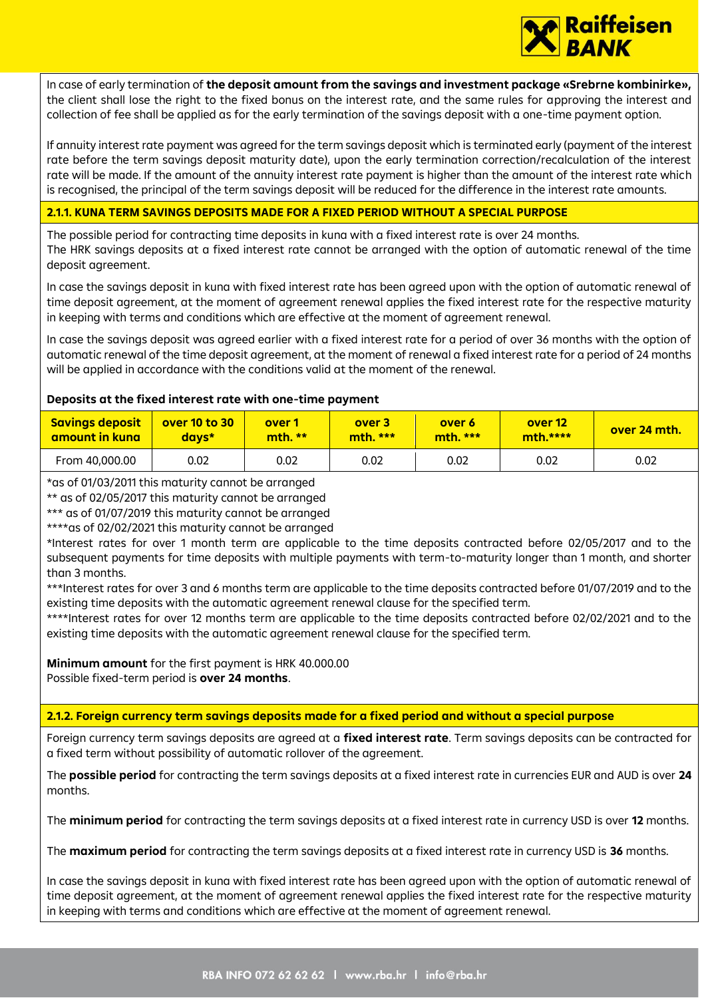

In case of early termination of **the deposit amount from the savings and investment package «Srebrne kombinirke»,**  the client shall lose the right to the fixed bonus on the interest rate, and the same rules for approving the interest and collection of fee shall be applied as for the early termination of the savings deposit with a one-time payment option.

If annuity interest rate payment was agreed for the term savings deposit which is terminated early (payment of the interest rate before the term savings deposit maturity date), upon the early termination correction/recalculation of the interest rate will be made. If the amount of the annuity interest rate payment is higher than the amount of the interest rate which is recognised, the principal of the term savings deposit will be reduced for the difference in the interest rate amounts.

# **2.1.1. KUNA TERM SAVINGS DEPOSITS MADE FOR A FIXED PERIOD WITHOUT A SPECIAL PURPOSE**

The possible period for contracting time deposits in kuna with a fixed interest rate is over 24 months. The HRK savings deposits at a fixed interest rate cannot be arranged with the option of automatic renewal of the time deposit agreement.

In case the savings deposit in kuna with fixed interest rate has been agreed upon with the option of automatic renewal of time deposit agreement, at the moment of agreement renewal applies the fixed interest rate for the respective maturity in keeping with terms and conditions which are effective at the moment of agreement renewal.

In case the savings deposit was agreed earlier with a fixed interest rate for a period of over 36 months with the option of automatic renewal of the time deposit agreement, at the moment of renewal a fixed interest rate for a period of 24 months will be applied in accordance with the conditions valid at the moment of the renewal.

# **Deposits at the fixed interest rate with one-time payment**

| <b>Savings deposit</b> | over 10 to 30 | over 1  | over 3    | over 6    | over 12    | over 24 mth. |
|------------------------|---------------|---------|-----------|-----------|------------|--------------|
| amount in kuna         | days*         | mth. ** | $mth.***$ | $mth$ *** | $mth.****$ |              |
| From 40,000.00         | 0.02          | 0.02    | 0.02      | 0.02      | 0.02       | 0.02         |

\*as of 01/03/2011 this maturity cannot be arranged

\*\* as of 02/05/2017 this maturity cannot be arranged

\*\*\* as of 01/07/2019 this maturity cannot be arranged

\*\*\*\*as of 02/02/2021 this maturity cannot be arranged

\*Interest rates for over 1 month term are applicable to the time deposits contracted before 02/05/2017 and to the subsequent payments for time deposits with multiple payments with term-to-maturity longer than 1 month, and shorter than 3 months.

\*\*\*Interest rates for over 3 and 6 months term are applicable to the time deposits contracted before 01/07/2019 and to the existing time deposits with the automatic agreement renewal clause for the specified term.

\*\*\*\*Interest rates for over 12 months term are applicable to the time deposits contracted before 02/02/2021 and to the existing time deposits with the automatic agreement renewal clause for the specified term.

**Minimum amount** for the first payment is HRK 40.000.00 Possible fixed-term period is **over 24 months**.

**2.1.2. Foreign currency term savings deposits made for a fixed period and without a special purpose**

Foreign currency term savings deposits are agreed at a **fixed interest rate**. Term savings deposits can be contracted for a fixed term without possibility of automatic rollover of the agreement.

The **possible period** for contracting the term savings deposits at a fixed interest rate in currencies EUR and AUD is over **24** months.

The **minimum period** for contracting the term savings deposits at a fixed interest rate in currency USD is over **12** months.

The **maximum period** for contracting the term savings deposits at a fixed interest rate in currency USD is **36** months.

In case the savings deposit in kuna with fixed interest rate has been agreed upon with the option of automatic renewal of time deposit agreement, at the moment of agreement renewal applies the fixed interest rate for the respective maturity in keeping with terms and conditions which are effective at the moment of agreement renewal.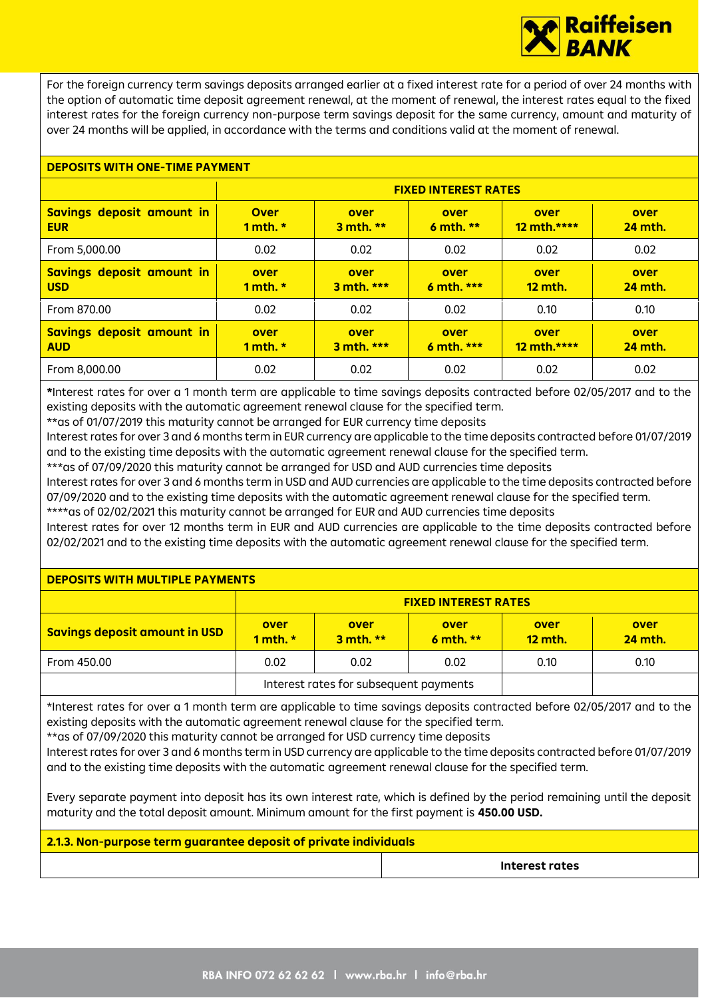

For the foreign currency term savings deposits arranged earlier at a fixed interest rate for a period of over 24 months with the option of automatic time deposit agreement renewal, at the moment of renewal, the interest rates equal to the fixed interest rates for the foreign currency non-purpose term savings deposit for the same currency, amount and maturity of over 24 months will be applied, in accordance with the terms and conditions valid at the moment of renewal.

## **DEPOSITS WITH ONE-TIME PAYMENT**

|                                         |                           | <b>FIXED INTEREST RATES</b> |                    |                        |                        |  |  |  |  |
|-----------------------------------------|---------------------------|-----------------------------|--------------------|------------------------|------------------------|--|--|--|--|
| Savings deposit amount in<br><b>EUR</b> | <b>Over</b><br>1 mth. $*$ | over<br>3 mth. **           | over<br>6 mth. **  | over<br>12 mth.****    | over<br><b>24 mth.</b> |  |  |  |  |
| From 5,000.00                           | 0.02                      | 0.02                        | 0.02               | 0.02                   | 0.02                   |  |  |  |  |
| Savings deposit amount in<br><b>USD</b> | over<br>1 mth. $*$        | over<br>3 mth. ***          | over<br>6 mth. *** | over<br><b>12 mth.</b> | over<br><b>24 mth.</b> |  |  |  |  |
| From 870.00                             | 0.02                      | 0.02                        | 0.02               | 0.10                   | 0.10                   |  |  |  |  |
| Savings deposit amount in<br><b>AUD</b> | over<br>1 mth. $*$        | over<br>$3$ mth. ***        | over<br>6 mth. *** | over<br>$12$ mth.****  | over<br><b>24 mth.</b> |  |  |  |  |
| From 8,000.00                           | 0.02                      | 0.02                        | 0.02               | 0.02                   | 0.02                   |  |  |  |  |

**\***Interest rates for over a 1 month term are applicable to time savings deposits contracted before 02/05/2017 and to the existing deposits with the automatic agreement renewal clause for the specified term.

\*\*as of 01/07/2019 this maturity cannot be arranged for EUR currency time deposits

Interest rates for over 3 and 6 months term in EUR currency are applicable to the time deposits contracted before 01/07/2019 and to the existing time deposits with the automatic agreement renewal clause for the specified term.

\*\*\*as of 07/09/2020 this maturity cannot be arranged for USD and AUD currencies time deposits

Interest rates for over 3 and 6 months term in USD and AUD currencies are applicable to the time deposits contracted before 07/09/2020 and to the existing time deposits with the automatic agreement renewal clause for the specified term. \*\*\*\*as of 02/02/2021 this maturity cannot be arranged for EUR and AUD currencies time deposits

Interest rates for over 12 months term in EUR and AUD currencies are applicable to the time deposits contracted before 02/02/2021 and to the existing time deposits with the automatic agreement renewal clause for the specified term.

## **DEPOSITS WITH MULTIPLE PAYMENTS**

|                                      | <b>FIXED INTEREST RATES</b> |                                        |                     |                        |                        |  |  |
|--------------------------------------|-----------------------------|----------------------------------------|---------------------|------------------------|------------------------|--|--|
| <b>Savings deposit amount in USD</b> | over<br>1 mth. $*$          | over<br>$3$ mth. **                    | over<br>6 mth. $**$ | over<br><b>12 mth.</b> | over<br><b>24 mth.</b> |  |  |
| From 450.00                          | 0.02                        | 0.02                                   | 0.10                | 0.10                   |                        |  |  |
|                                      |                             | Interest rates for subsequent payments |                     |                        |                        |  |  |

\*Interest rates for over a 1 month term are applicable to time savings deposits contracted before 02/05/2017 and to the existing deposits with the automatic agreement renewal clause for the specified term.

\*\*as of 07/09/2020 this maturity cannot be arranged for USD currency time deposits

Interest rates for over 3 and 6 months term in USD currency are applicable to the time deposits contracted before 01/07/2019 and to the existing time deposits with the automatic agreement renewal clause for the specified term.

Every separate payment into deposit has its own interest rate, which is defined by the period remaining until the deposit maturity and the total deposit amount. Minimum amount for the first payment is **450.00 USD.**

## **2.1.3. Non-purpose term guarantee deposit of private individuals**

**Interest rates**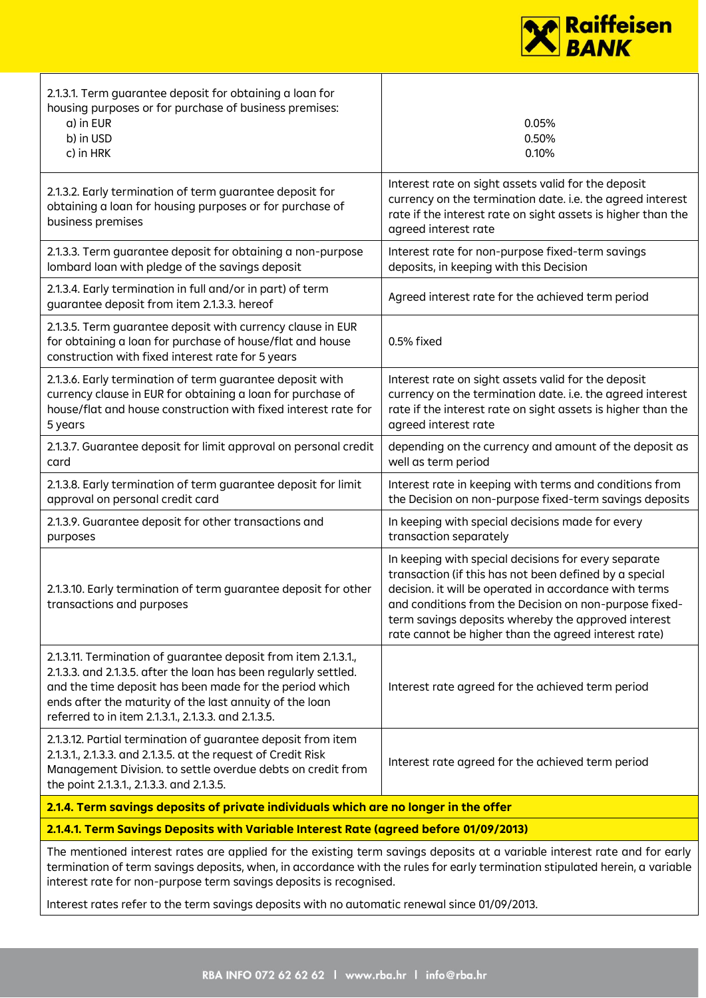

| 2.1.3.1. Term guarantee deposit for obtaining a loan for<br>housing purposes or for purchase of business premises:<br>a) in EUR<br>b) in USD<br>c) in HRK                                                                                                                                                                       | 0.05%<br>0.50%<br>0.10%                                                                                                                                                                                                                                                                                                                           |
|---------------------------------------------------------------------------------------------------------------------------------------------------------------------------------------------------------------------------------------------------------------------------------------------------------------------------------|---------------------------------------------------------------------------------------------------------------------------------------------------------------------------------------------------------------------------------------------------------------------------------------------------------------------------------------------------|
| 2.1.3.2. Early termination of term guarantee deposit for<br>obtaining a loan for housing purposes or for purchase of<br>business premises                                                                                                                                                                                       | Interest rate on sight assets valid for the deposit<br>currency on the termination date. i.e. the agreed interest<br>rate if the interest rate on sight assets is higher than the<br>agreed interest rate                                                                                                                                         |
| 2.1.3.3. Term guarantee deposit for obtaining a non-purpose<br>lombard loan with pledge of the savings deposit                                                                                                                                                                                                                  | Interest rate for non-purpose fixed-term savings<br>deposits, in keeping with this Decision                                                                                                                                                                                                                                                       |
| 2.1.3.4. Early termination in full and/or in part) of term<br>guarantee deposit from item 2.1.3.3. hereof                                                                                                                                                                                                                       | Agreed interest rate for the achieved term period                                                                                                                                                                                                                                                                                                 |
| 2.1.3.5. Term guarantee deposit with currency clause in EUR<br>for obtaining a loan for purchase of house/flat and house<br>construction with fixed interest rate for 5 years                                                                                                                                                   | 0.5% fixed                                                                                                                                                                                                                                                                                                                                        |
| 2.1.3.6. Early termination of term guarantee deposit with<br>currency clause in EUR for obtaining a loan for purchase of<br>house/flat and house construction with fixed interest rate for<br>5 years                                                                                                                           | Interest rate on sight assets valid for the deposit<br>currency on the termination date. i.e. the agreed interest<br>rate if the interest rate on sight assets is higher than the<br>agreed interest rate                                                                                                                                         |
| 2.1.3.7. Guarantee deposit for limit approval on personal credit<br>card                                                                                                                                                                                                                                                        | depending on the currency and amount of the deposit as<br>well as term period                                                                                                                                                                                                                                                                     |
| 2.1.3.8. Early termination of term guarantee deposit for limit<br>approval on personal credit card                                                                                                                                                                                                                              | Interest rate in keeping with terms and conditions from<br>the Decision on non-purpose fixed-term savings deposits                                                                                                                                                                                                                                |
| 2.1.3.9. Guarantee deposit for other transactions and<br>purposes                                                                                                                                                                                                                                                               | In keeping with special decisions made for every<br>transaction separately                                                                                                                                                                                                                                                                        |
| 2.1.3.10. Early termination of term guarantee deposit for other<br>transactions and purposes                                                                                                                                                                                                                                    | In keeping with special decisions for every separate<br>transaction (if this has not been defined by a special<br>decision. it will be operated in accordance with terms<br>and conditions from the Decision on non-purpose fixed-<br>term savings deposits whereby the approved interest<br>rate cannot be higher than the agreed interest rate) |
| 2.1.3.11. Termination of guarantee deposit from item 2.1.3.1.,<br>2.1.3.3. and 2.1.3.5. after the loan has been regularly settled.<br>and the time deposit has been made for the period which<br>ends after the maturity of the last annuity of the loan<br>referred to in item 2.1.3.1., 2.1.3.3. and 2.1.3.5.                 | Interest rate agreed for the achieved term period                                                                                                                                                                                                                                                                                                 |
| 2.1.3.12. Partial termination of guarantee deposit from item<br>2.1.3.1., 2.1.3.3. and 2.1.3.5. at the request of Credit Risk<br>Management Division. to settle overdue debts on credit from<br>the point 2.1.3.1., 2.1.3.3. and 2.1.3.5.                                                                                       | Interest rate agreed for the achieved term period                                                                                                                                                                                                                                                                                                 |
| 2.1.4. Term savings deposits of private individuals which are no longer in the offer                                                                                                                                                                                                                                            |                                                                                                                                                                                                                                                                                                                                                   |
| 2.1.4.1. Term Savings Deposits with Variable Interest Rate (agreed before 01/09/2013)                                                                                                                                                                                                                                           |                                                                                                                                                                                                                                                                                                                                                   |
| The mentioned interest rates are applied for the existing term savings deposits at a variable interest rate and for early<br>termination of term savings deposits, when, in accordance with the rules for early termination stipulated herein, a variable<br>interest rate for non-purpose term savings deposits is recognised. |                                                                                                                                                                                                                                                                                                                                                   |

Interest rates refer to the term savings deposits with no automatic renewal since 01/09/2013.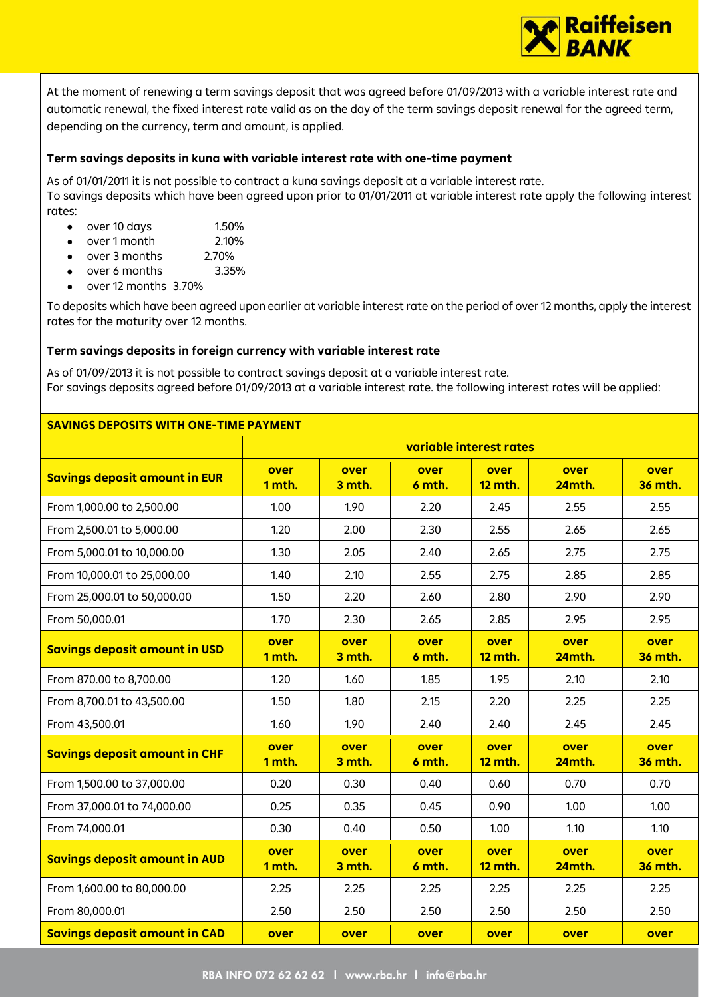

At the moment of renewing a term savings deposit that was agreed before 01/09/2013 with a variable interest rate and automatic renewal, the fixed interest rate valid as on the day of the term savings deposit renewal for the agreed term, depending on the currency, term and amount, is applied.

## **Term savings deposits in kuna with variable interest rate with one-time payment**

As of 01/01/2011 it is not possible to contract a kuna savings deposit at a variable interest rate. To savings deposits which have been agreed upon prior to 01/01/2011 at variable interest rate apply the following interest rates:

- $\bullet$  over 10 days 1.50%
- over 1 month 2.10%
- over 3 months 2.70%
- over 6 months 3.35%
- over 12 months 3.70%

To deposits which have been agreed upon earlier at variable interest rate on the period of over 12 months, apply the interest rates for the maturity over 12 months.

# **Term savings deposits in foreign currency with variable interest rate**

As of 01/09/2013 it is not possible to contract savings deposit at a variable interest rate. For savings deposits agreed before 01/09/2013 at a variable interest rate. the following interest rates will be applied:

# **SAVINGS DEPOSITS WITH ONE-TIME PAYMENT**

|                                      | variable interest rates |                |                |                        |                |                        |
|--------------------------------------|-------------------------|----------------|----------------|------------------------|----------------|------------------------|
| <b>Savings deposit amount in EUR</b> | over<br>1 mth.          | over<br>3 mth. | over<br>6 mth. | over<br><b>12 mth.</b> | over<br>24mth. | over<br><b>36 mth.</b> |
| From 1,000.00 to 2,500.00            | 1.00                    | 1.90           | 2.20           | 2.45                   | 2.55           | 2.55                   |
| From 2,500.01 to 5,000.00            | 1.20                    | 2.00           | 2.30           | 2.55                   | 2.65           | 2.65                   |
| From 5,000.01 to 10,000.00           | 1.30                    | 2.05           | 2.40           | 2.65                   | 2.75           | 2.75                   |
| From 10,000.01 to 25,000.00          | 1.40                    | 2.10           | 2.55           | 2.75                   | 2.85           | 2.85                   |
| From 25,000.01 to 50,000.00          | 1.50                    | 2.20           | 2.60           | 2.80                   | 2.90           | 2.90                   |
| From 50,000.01                       | 1.70                    | 2.30           | 2.65           | 2.85                   | 2.95           | 2.95                   |
| <b>Savings deposit amount in USD</b> | over<br>1 mth.          | over<br>3 mth. | over<br>6 mth. | over<br><b>12 mth.</b> | over<br>24mth. | over<br><b>36 mth.</b> |
| From 870.00 to 8,700.00              | 1.20                    | 1.60           | 1.85           | 1.95                   | 2.10           | 2.10                   |
| From 8,700.01 to 43,500.00           | 1.50                    | 1.80           | 2.15           | 2.20                   | 2.25           | 2.25                   |
| From 43,500.01                       | 1.60                    | 1.90           | 2.40           | 2.40                   | 2.45           | 2.45                   |
| <b>Savings deposit amount in CHF</b> | over<br>1 mth.          | over<br>3 mth. | over<br>6 mth. | over<br><b>12 mth.</b> | over<br>24mth. | over<br><b>36 mth.</b> |
| From 1,500.00 to 37,000.00           | 0.20                    | 0.30           | 0.40           | 0.60                   | 0.70           | 0.70                   |
| From 37,000.01 to 74,000.00          | 0.25                    | 0.35           | 0.45           | 0.90                   | 1.00           | 1.00                   |
| From 74,000.01                       | 0.30                    | 0.40           | 0.50           | 1.00                   | 1.10           | 1.10                   |
| <b>Savings deposit amount in AUD</b> | over<br>1 mth.          | over<br>3 mth. | over<br>6 mth. | over<br><b>12 mth.</b> | over<br>24mth. | over<br><b>36 mth.</b> |
| From 1,600.00 to 80,000.00           | 2.25                    | 2.25           | 2.25           | 2.25                   | 2.25           | 2.25                   |
| From 80,000.01                       | 2.50                    | 2.50           | 2.50           | 2.50                   | 2.50           | 2.50                   |
| <b>Savings deposit amount in CAD</b> | over                    | over           | over           | over                   | over           | over                   |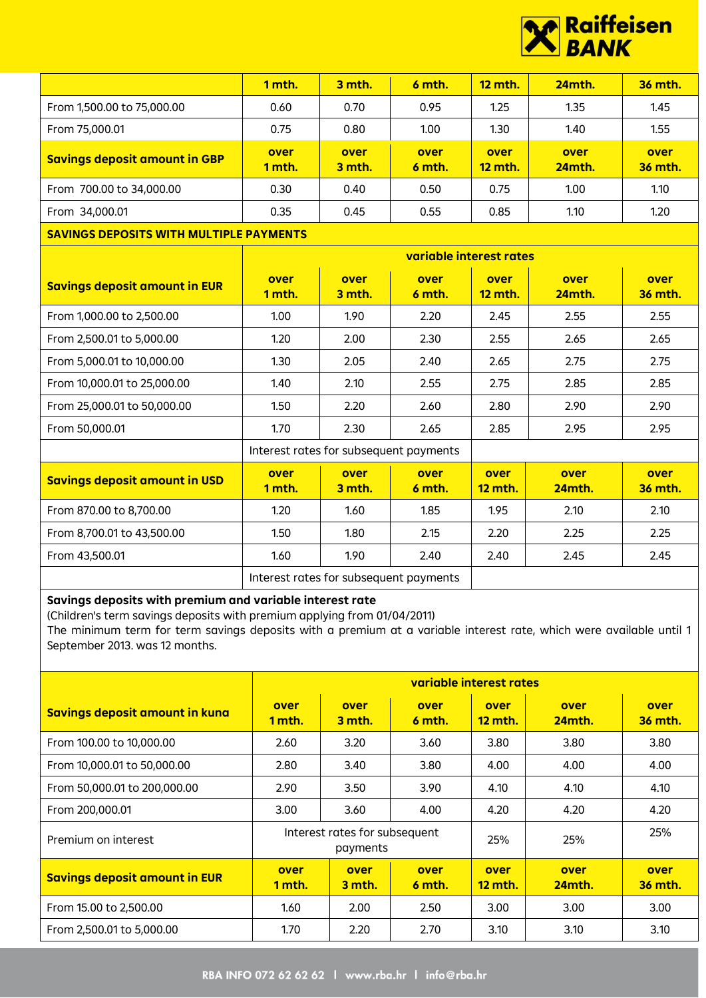

|                                                | 1 mth.                                 | 3 mth.         | 6 mth.                  | <b>12 mth.</b>         | 24mth.         | 36 mth.                |
|------------------------------------------------|----------------------------------------|----------------|-------------------------|------------------------|----------------|------------------------|
| From 1,500.00 to 75,000.00                     | 0.60                                   | 0.70           | 0.95                    | 1.25                   | 1.35           | 1.45                   |
| From 75,000.01                                 | 0.75                                   | 0.80           | 1.00                    | 1.30                   | 1.40           | 1.55                   |
| <b>Savings deposit amount in GBP</b>           | over<br>1 mth.                         | over<br>3 mth. | over<br>6 mth.          | over<br><b>12 mth.</b> | over<br>24mth. | over<br><b>36 mth.</b> |
| From 700.00 to 34,000.00                       | 0.30                                   | 0.40           | 0.50                    | 0.75                   | 1.00           | 1.10                   |
| From 34,000.01                                 | 0.35                                   | 0.45           | 0.55                    | 0.85                   | 1.10           | 1.20                   |
| <b>SAVINGS DEPOSITS WITH MULTIPLE PAYMENTS</b> |                                        |                |                         |                        |                |                        |
|                                                |                                        |                | variable interest rates |                        |                |                        |
| <b>Savings deposit amount in EUR</b>           | over<br>1 mth.                         | over<br>3 mth. | over<br>6 mth.          | over<br><b>12 mth.</b> | over<br>24mth. | over<br><b>36 mth.</b> |
| From 1,000.00 to 2,500.00                      | 1.00                                   | 1.90           | 2.20                    | 2.45                   | 2.55           | 2.55                   |
| From 2,500.01 to 5,000.00                      | 1.20                                   | 2.00           | 2.30                    | 2.55                   | 2.65           | 2.65                   |
| From 5,000.01 to 10,000.00                     | 1.30                                   | 2.05           | 2.40                    | 2.65                   | 2.75           | 2.75                   |
| From 10,000.01 to 25,000.00                    | 1.40                                   | 2.10           | 2.55                    | 2.75                   | 2.85           | 2.85                   |
| From 25,000.01 to 50,000.00                    | 1.50                                   | 2.20           | 2.60                    | 2.80                   | 2.90           | 2.90                   |
| From 50,000.01                                 | 1.70                                   | 2.30           | 2.65                    | 2.85                   | 2.95           | 2.95                   |
|                                                | Interest rates for subsequent payments |                |                         |                        |                |                        |
| <b>Savings deposit amount in USD</b>           | over<br>1 mth.                         | over<br>3 mth. | over<br>6 mth.          | over<br><b>12 mth.</b> | over<br>24mth. | over<br><b>36 mth.</b> |
| From 870.00 to 8,700.00                        | 1.20                                   | 1.60           | 1.85                    | 1.95                   | 2.10           | 2.10                   |
| From 8,700.01 to 43,500.00                     | 1.50                                   | 1.80           | 2.15                    | 2.20                   | 2.25           | 2.25                   |
| From 43,500.01                                 | 1.60                                   | 1.90           | 2.40                    | 2.40                   | 2.45           | 2.45                   |
|                                                | Interest rates for subsequent payments |                |                         |                        |                |                        |

# **Savings deposits with premium and variable interest rate**

(Children's term savings deposits with premium applying from 01/04/2011)

The minimum term for term savings deposits with a premium at a variable interest rate, which were available until 1 September 2013. was 12 months.

|                                      | variable interest rates |                                           |                |                        |                       |                        |  |
|--------------------------------------|-------------------------|-------------------------------------------|----------------|------------------------|-----------------------|------------------------|--|
| Savings deposit amount in kuna       | over<br>1 mth.          | over<br>3 mth.                            | over<br>6 mth. | over<br><b>12 mth.</b> | over<br><b>24mth.</b> | over<br><b>36 mth.</b> |  |
| From 100.00 to 10,000.00             | 2.60                    | 3.20                                      | 3.60           | 3.80                   | 3.80                  | 3.80                   |  |
| From 10,000.01 to 50,000.00          | 2.80                    | 3.40                                      | 3.80           | 4.00                   | 4.00                  | 4.00                   |  |
| From 50,000.01 to 200,000.00         | 2.90                    | 3.50                                      | 3.90           | 4.10                   | 4.10                  | 4.10                   |  |
| From 200,000.01                      | 3.00                    | 3.60                                      | 4.00           | 4.20                   | 4.20                  | 4.20                   |  |
| Premium on interest                  |                         | Interest rates for subsequent<br>payments |                | 25%                    | 25%                   | 25%                    |  |
| <b>Savings deposit amount in EUR</b> | over<br>1 mth.          | over<br>3 mth.                            | over<br>6 mth. | over<br><b>12 mth.</b> | over<br><b>24mth.</b> | over<br><b>36 mth.</b> |  |
| From 15.00 to 2,500.00               | 1.60                    | 2.00                                      | 2.50           | 3.00 <sub>1</sub>      | 3.00                  | 3.00                   |  |
| From 2,500.01 to 5,000.00            | 1.70                    | 2.20                                      | 2.70           | 3.10                   | 3.10                  | 3.10                   |  |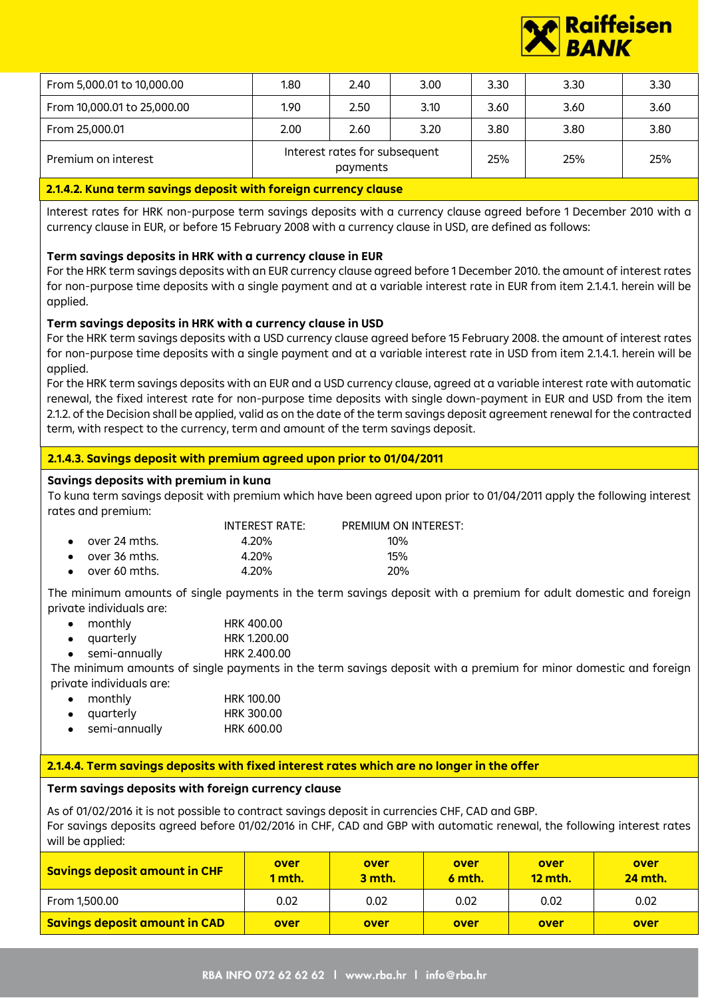

| From 10,000.01 to 25,000.00<br>3.10<br>3.60<br>2.50<br>3.60<br>3.60<br>1.90<br>3.20<br>3.80<br>3.80<br>3.80<br>2.00<br>From 25,000.01<br>2.60<br>Interest rates for subsequent | From 5,000.01 to 10,000.00 | 1.80 | 2.40 | 3.00 | 3.30 | 3.30 | 3.30 |
|--------------------------------------------------------------------------------------------------------------------------------------------------------------------------------|----------------------------|------|------|------|------|------|------|
|                                                                                                                                                                                |                            |      |      |      |      |      |      |
|                                                                                                                                                                                |                            |      |      |      |      |      |      |
| payments                                                                                                                                                                       | Premium on interest        |      |      |      | 25%  | 25%  | 25%  |

#### **2.1.4.2. Kuna term savings deposit with foreign currency clause**

Interest rates for HRK non-purpose term savings deposits with a currency clause agreed before 1 December 2010 with a currency clause in EUR, or before 15 February 2008 with a currency clause in USD, are defined as follows:

## **Term savings deposits in HRK with a currency clause in EUR**

For the HRK term savings deposits with an EUR currency clause agreed before 1 December 2010. the amount of interest rates for non-purpose time deposits with a single payment and at a variable interest rate in EUR from item 2.1.4.1. herein will be applied.

#### **Term savings deposits in HRK with a currency clause in USD**

For the HRK term savings deposits with a USD currency clause agreed before 15 February 2008. the amount of interest rates for non-purpose time deposits with a single payment and at a variable interest rate in USD from item 2.1.4.1. herein will be applied.

For the HRK term savings deposits with an EUR and a USD currency clause, agreed at a variable interest rate with automatic renewal, the fixed interest rate for non-purpose time deposits with single down-payment in EUR and USD from the item 2.1.2. of the Decision shall be applied, valid as on the date of the term savings deposit agreement renewal for the contracted term, with respect to the currency, term and amount of the term savings deposit.

# **2.1.4.3. Savings deposit with premium agreed upon prior to 01/04/2011**

#### **Savings deposits with premium in kuna**

To kuna term savings deposit with premium which have been agreed upon prior to 01/04/2011 apply the following interest rates and premium:

|                         | INTEREST RATE: | PREMIUM ON INTEREST: |
|-------------------------|----------------|----------------------|
| $\bullet$ over 24 mths. | 4.20%          | $10\%$               |
| $\bullet$ over 36 mths. | 4.20%          | 15%                  |
| $\bullet$ over 60 mths. | 4.20%          | 20%                  |

The minimum amounts of single payments in the term savings deposit with a premium for adult domestic and foreign private individuals are:

- monthly HRK 400.00
- quarterly **HRK 1.200.00**
- semi-annually HRK 2.400.00

The minimum amounts of single payments in the term savings deposit with a premium for minor domestic and foreign private individuals are:

- monthly HRK 100.00
- quarterly HRK 300.00
- semi-annually HRK 600.00

## **2.1.4.4. Term savings deposits with fixed interest rates which are no longer in the offer**

## **Term savings deposits with foreign currency clause**

As of 01/02/2016 it is not possible to contract savings deposit in currencies CHF, CAD and GBP. For savings deposits agreed before 01/02/2016 in CHF, CAD and GBP with automatic renewal, the following interest rates will be applied:

| Savings deposit amount in CHF        | over<br>1 mth. | over<br>3 mth. | over<br>6 mth. | over<br><b>12 mth.</b> | over<br><b>24 mth.</b> |
|--------------------------------------|----------------|----------------|----------------|------------------------|------------------------|
| From 1,500.00                        | 0.02           | 0.02           | 0.02           | 0.02                   | 0.02                   |
| <b>Savings deposit amount in CAD</b> | over           | over           | over           | over                   | over                   |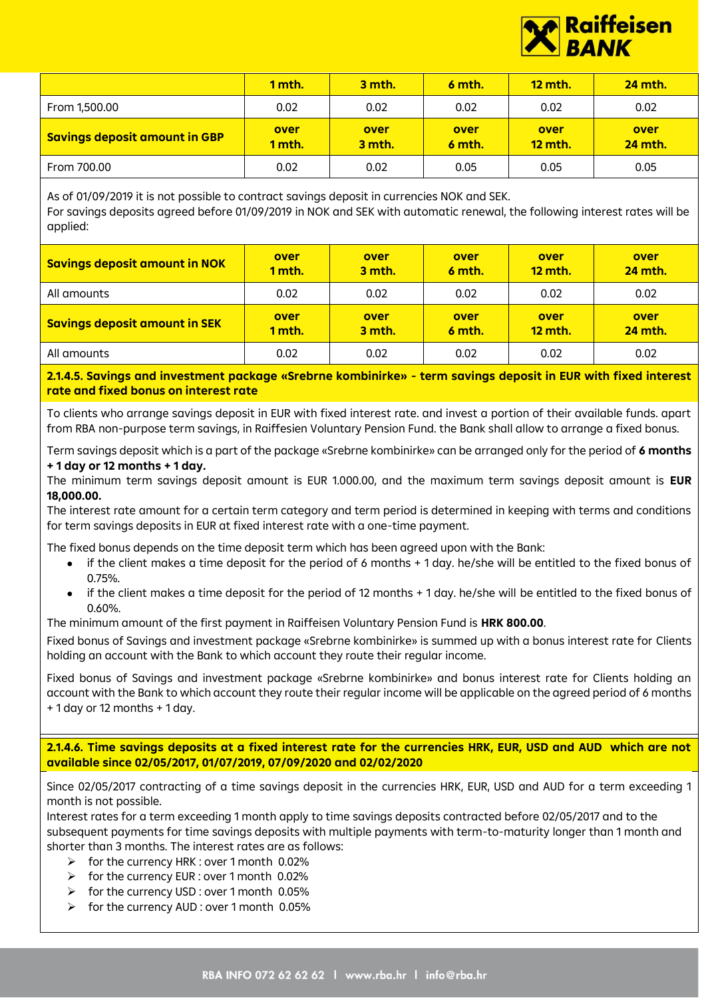

|                                      | 1 mth.         | 3 mth.         | 6 mth.         | <b>12 mth.</b>         | <b>24 mth.</b>         |
|--------------------------------------|----------------|----------------|----------------|------------------------|------------------------|
| From 1,500.00                        | 0.02           | 0.02           | 0.02           | 0.02                   | 0.02                   |
| <b>Savings deposit amount in GBP</b> | over<br>1 mth. | over<br>3 mth. | over<br>6 mth. | over<br><b>12 mth.</b> | over<br><b>24 mth.</b> |
| From 700.00                          | 0.02           | 0.02           | 0.05           | 0.05                   | 0.05                   |

As of 01/09/2019 it is not possible to contract savings deposit in currencies NOK and SEK. For savings deposits agreed before 01/09/2019 in NOK and SEK with automatic renewal, the following interest rates will be applied:

| <b>Savings deposit amount in NOK</b> | over<br>1 mth. | over<br>3 mth. | over<br>6 mth. | over<br><b>12 mth.</b> | over<br><b>24 mth.</b> |
|--------------------------------------|----------------|----------------|----------------|------------------------|------------------------|
| All amounts                          | 0.02           | 0.02           | 0.02           | 0.02                   | 0.02                   |
| <b>Savings deposit amount in SEK</b> | over<br>1 mth. | over<br>3 mth. | over<br>6 mth. | over<br><b>12 mth.</b> | over<br><b>24 mth.</b> |
| All amounts                          | 0.02           | 0.02           | 0.02           | 0.02                   | 0.02                   |

**2.1.4.5. Savings and investment package «Srebrne kombinirke» - term savings deposit in EUR with fixed interest rate and fixed bonus on interest rate**

To clients who arrange savings deposit in EUR with fixed interest rate. and invest a portion of their available funds. apart from RBA non-purpose term savings, in Raiffesien Voluntary Pension Fund. the Bank shall allow to arrange a fixed bonus.

Term savings deposit which is a part of the package «Srebrne kombinirke» can be arranged only for the period of **6 months + 1 day or 12 months + 1 day.**

The minimum term savings deposit amount is EUR 1.000.00, and the maximum term savings deposit amount is **EUR 18,000.00.**

The interest rate amount for a certain term category and term period is determined in keeping with terms and conditions for term savings deposits in EUR at fixed interest rate with a one-time payment.

The fixed bonus depends on the time deposit term which has been agreed upon with the Bank:

- if the client makes a time deposit for the period of 6 months + 1 day. he/she will be entitled to the fixed bonus of 0.75%.
- if the client makes a time deposit for the period of 12 months + 1 day. he/she will be entitled to the fixed bonus of 0.60%.

The minimum amount of the first payment in Raiffeisen Voluntary Pension Fund is **HRK 800.00**.

Fixed bonus of Savings and investment package «Srebrne kombinirke» is summed up with a bonus interest rate for Clients holding an account with the Bank to which account they route their regular income.

Fixed bonus of Savings and investment package «Srebrne kombinirke» and bonus interest rate for Clients holding an account with the Bank to which account they route their regular income will be applicable on the agreed period of 6 months + 1 day or 12 months + 1 day.

**2.1.4.6. Time savings deposits at a fixed interest rate for the currencies HRK, EUR, USD and AUD which are not available since 02/05/2017, 01/07/2019, 07/09/2020 and 02/02/2020**

Since 02/05/2017 contracting of a time savings deposit in the currencies HRK, EUR, USD and AUD for a term exceeding 1 month is not possible.

Interest rates for a term exceeding 1 month apply to time savings deposits contracted before 02/05/2017 and to the subsequent payments for time savings deposits with multiple payments with term-to-maturity longer than 1 month and shorter than 3 months. The interest rates are as follows:

- ➢ for the currency HRK : over 1 month 0.02%
- ➢ for the currency EUR : over 1 month 0.02%
- ➢ for the currency USD : over 1 month 0.05%
- ➢ for the currency AUD : over 1 month 0.05%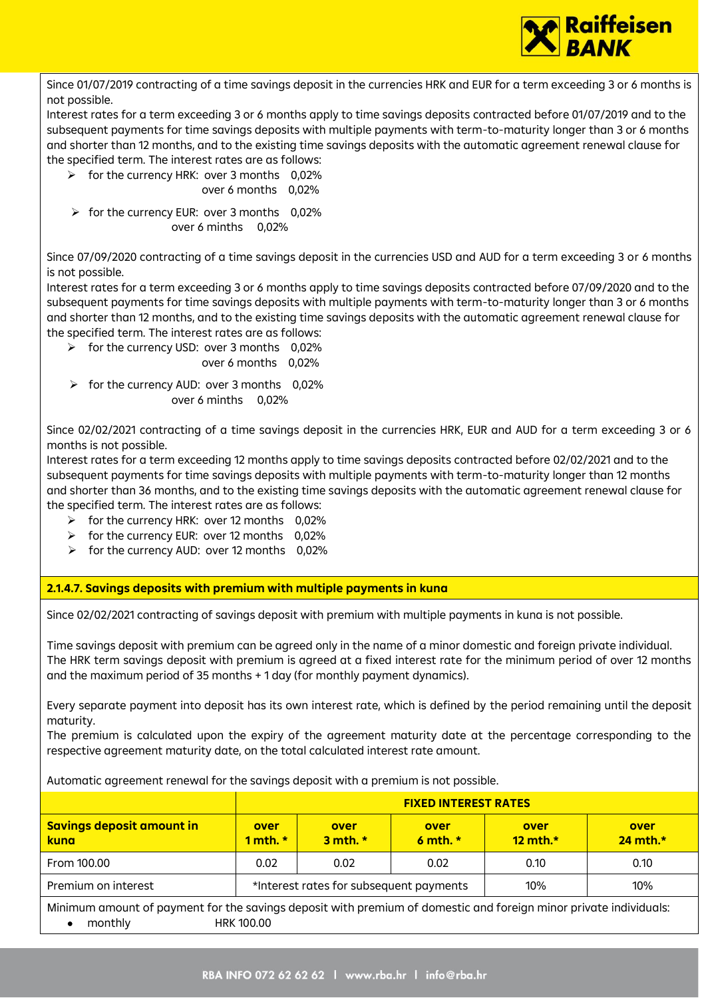

Since 01/07/2019 contracting of a time savings deposit in the currencies HRK and EUR for a term exceeding 3 or 6 months is not possible.

Interest rates for a term exceeding 3 or 6 months apply to time savings deposits contracted before 01/07/2019 and to the subsequent payments for time savings deposits with multiple payments with term-to-maturity longer than 3 or 6 months and shorter than 12 months, and to the existing time savings deposits with the automatic agreement renewal clause for the specified term. The interest rates are as follows:

- ➢ for the currency HRK: over 3 months 0,02%
	- over 6 months 0,02%
- $\triangleright$  for the currency EUR: over 3 months 0,02% over 6 minths 0,02%

Since 07/09/2020 contracting of a time savings deposit in the currencies USD and AUD for a term exceeding 3 or 6 months is not possible.

Interest rates for a term exceeding 3 or 6 months apply to time savings deposits contracted before 07/09/2020 and to the subsequent payments for time savings deposits with multiple payments with term-to-maturity longer than 3 or 6 months and shorter than 12 months, and to the existing time savings deposits with the automatic agreement renewal clause for the specified term. The interest rates are as follows:

- ➢ for the currency USD: over 3 months 0,02%
	- over 6 months 0,02%
- $\triangleright$  for the currency AUD: over 3 months 0,02% over 6 minths 0,02%

Since 02/02/2021 contracting of a time savings deposit in the currencies HRK, EUR and AUD for a term exceeding 3 or 6 months is not possible.

Interest rates for a term exceeding 12 months apply to time savings deposits contracted before 02/02/2021 and to the subsequent payments for time savings deposits with multiple payments with term-to-maturity longer than 12 months and shorter than 36 months, and to the existing time savings deposits with the automatic agreement renewal clause for the specified term. The interest rates are as follows:

- ➢ for the currency HRK: over 12 months 0,02%
- ➢ for the currency EUR: over 12 months 0,02%
- ➢ for the currency AUD: over 12 months 0,02%

**2.1.4.7. Savings deposits with premium with multiple payments in kuna**

Since 02/02/2021 contracting of savings deposit with premium with multiple payments in kuna is not possible.

Time savings deposit with premium can be agreed only in the name of a minor domestic and foreign private individual. The HRK term savings deposit with premium is agreed at a fixed interest rate for the minimum period of over 12 months and the maximum period of 35 months + 1 day (for monthly payment dynamics).

Every separate payment into deposit has its own interest rate, which is defined by the period remaining until the deposit maturity.

The premium is calculated upon the expiry of the agreement maturity date at the percentage corresponding to the respective agreement maturity date, on the total calculated interest rate amount.

Automatic agreement renewal for the savings deposit with a premium is not possible.

|                                                                                                                  | <b>FIXED INTEREST RATES</b>                    |                      |                      |                       |                  |  |
|------------------------------------------------------------------------------------------------------------------|------------------------------------------------|----------------------|----------------------|-----------------------|------------------|--|
| <b>Savings deposit amount in</b><br>kuna                                                                         | over<br>1 mth. $*$                             | over<br>$3$ mth. $*$ | over<br>$6$ mth. $*$ | over<br>$12$ mth. $*$ | over<br>24 mth.* |  |
| From 100.00                                                                                                      | 0.02                                           | 0.02                 | 0.02                 | 0.10                  | 0.10             |  |
| Premium on interest                                                                                              | *Interest rates for subsequent payments<br>10% |                      |                      |                       | 10%              |  |
| Minimum amount of payment for the savings deposit with promium of domestic and foreign minor private individuals |                                                |                      |                      |                       |                  |  |

Minimum amount of payment for the savings deposit with premium of domestic and foreign minor private individuals: • monthly HRK 100.00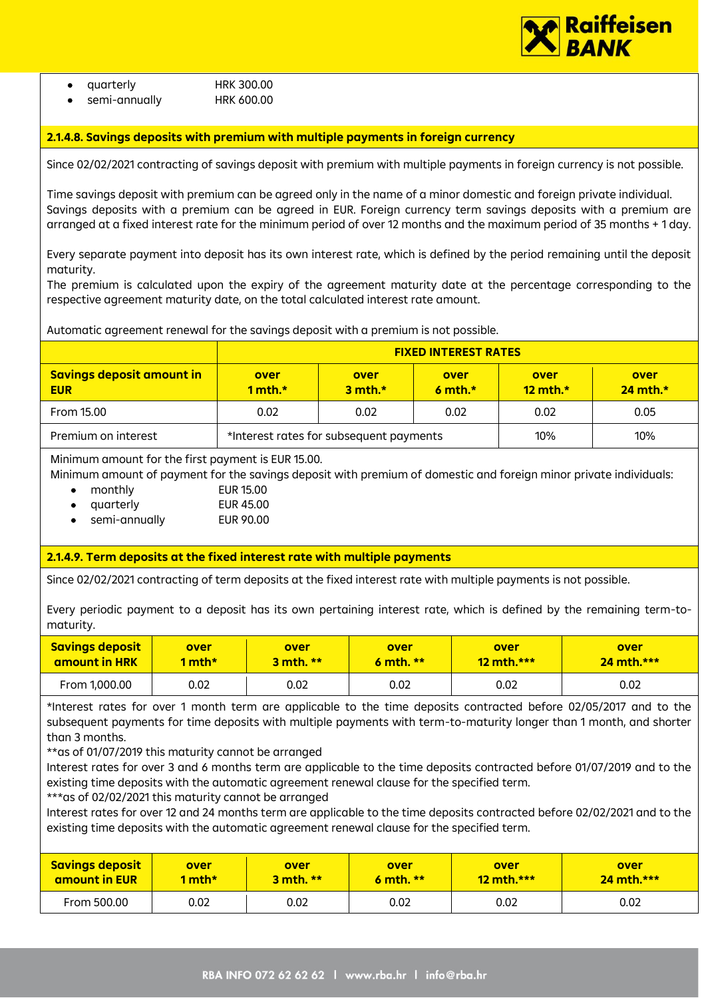

#### **2.1.4.8. Savings deposits with premium with multiple payments in foreign currency**

Since 02/02/2021 contracting of savings deposit with premium with multiple payments in foreign currency is not possible.

Time savings deposit with premium can be agreed only in the name of a minor domestic and foreign private individual. Savings deposits with a premium can be agreed in EUR. Foreign currency term savings deposits with a premium are arranged at a fixed interest rate for the minimum period of over 12 months and the maximum period of 35 months + 1 day.

Every separate payment into deposit has its own interest rate, which is defined by the period remaining until the deposit maturity.

The premium is calculated upon the expiry of the agreement maturity date at the percentage corresponding to the respective agreement maturity date, on the total calculated interest rate amount.

Automatic agreement renewal for the savings deposit with a premium is not possible.

|                                                | <b>FIXED INTEREST RATES</b>             |                      |                      |                     |                       |  |
|------------------------------------------------|-----------------------------------------|----------------------|----------------------|---------------------|-----------------------|--|
| <b>Savings deposit amount in</b><br><b>EUR</b> | over<br>1 mth. $*$                      | over<br>$3$ mth. $*$ | over<br>$6$ mth. $*$ | over<br>12 mth. $*$ | over<br>$24$ mth. $*$ |  |
| From 15.00                                     | 0.02                                    | 0.02<br>0.02         |                      | 0.02                | 0.05                  |  |
| Premium on interest                            | *Interest rates for subsequent payments |                      |                      | 10%                 | 10%                   |  |

Minimum amount for the first payment is EUR 15.00.

Minimum amount of payment for the savings deposit with premium of domestic and foreign minor private individuals:

- monthly EUR 15.00
	- quarterly EUR 45.00
- semi-annually EUR 90.00

# **2.1.4.9. Term deposits at the fixed interest rate with multiple payments**

Since 02/02/2021 contracting of term deposits at the fixed interest rate with multiple payments is not possible.

Every periodic payment to a deposit has its own pertaining interest rate, which is defined by the remaining term-tomaturity.

| <b>Savings deposit</b><br>amount in HRK | over<br>over<br>over<br>1 mth*<br>$3$ mth. $**$ |      | 6 mth. $**$ | over<br>$12$ mth.*** | over<br>$24$ mth.*** |
|-----------------------------------------|-------------------------------------------------|------|-------------|----------------------|----------------------|
| From 1,000.00                           | 0.02                                            | 0.02 | 0.02        | 0.02                 | 0.02                 |

\*Interest rates for over 1 month term are applicable to the time deposits contracted before 02/05/2017 and to the subsequent payments for time deposits with multiple payments with term-to-maturity longer than 1 month, and shorter than 3 months.

\*\*as of 01/07/2019 this maturity cannot be arranged

Interest rates for over 3 and 6 months term are applicable to the time deposits contracted before 01/07/2019 and to the existing time deposits with the automatic agreement renewal clause for the specified term.

\*\*\*as of 02/02/2021 this maturity cannot be arranged

Interest rates for over 12 and 24 months term are applicable to the time deposits contracted before 02/02/2021 and to the existing time deposits with the automatic agreement renewal clause for the specified term.

| <b>Savings deposit</b> | over   | over          | over        | over         | over         |
|------------------------|--------|---------------|-------------|--------------|--------------|
| amount in EUR          | 1 mth* | $3$ mth. $**$ | 6 mth. $**$ | $12$ mth.*** | $24$ mth.*** |
| From 500.00            | 0.02   | 0.02          | 0.02        | 0.02         | 0.02         |